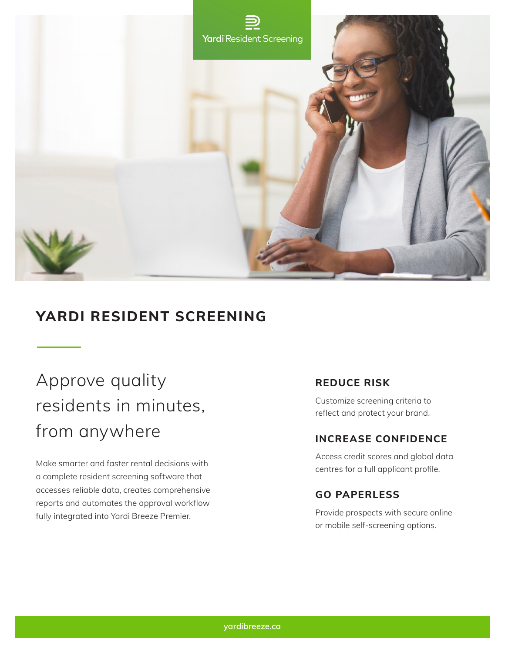

# **YARDI RESIDENT SCREENING**

# Approve quality residents in minutes, from anywhere

Make smarter and faster rental decisions with a complete resident screening software that accesses reliable data, creates comprehensive reports and automates the approval workflow fully integrated into Yardi Breeze Premier.

# **REDUCE RISK**

Customize screening criteria to reflect and protect your brand.

### **INCREASE CONFIDENCE**

Access credit scores and global data centres for a full applicant profile.

# **GO PAPERLESS**

Provide prospects with secure online or mobile self-screening options.